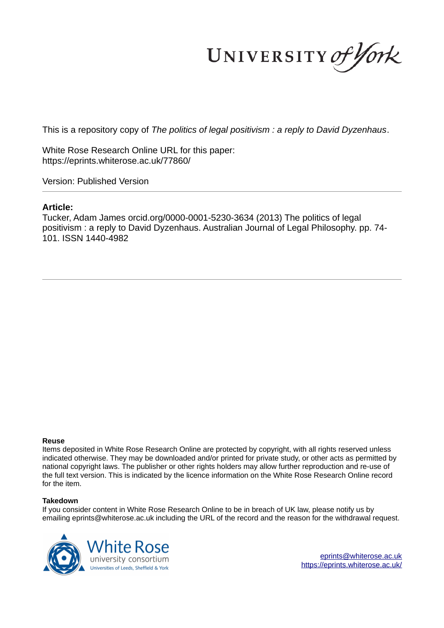UNIVERSITY of York

This is a repository copy of *The politics of legal positivism : a reply to David Dyzenhaus*.

White Rose Research Online URL for this paper: https://eprints.whiterose.ac.uk/77860/

Version: Published Version

#### **Article:**

Tucker, Adam James orcid.org/0000-0001-5230-3634 (2013) The politics of legal positivism : a reply to David Dyzenhaus. Australian Journal of Legal Philosophy. pp. 74- 101. ISSN 1440-4982

#### **Reuse**

Items deposited in White Rose Research Online are protected by copyright, with all rights reserved unless indicated otherwise. They may be downloaded and/or printed for private study, or other acts as permitted by national copyright laws. The publisher or other rights holders may allow further reproduction and re-use of the full text version. This is indicated by the licence information on the White Rose Research Online record for the item.

#### **Takedown**

If you consider content in White Rose Research Online to be in breach of UK law, please notify us by emailing eprints@whiterose.ac.uk including the URL of the record and the reason for the withdrawal request.



eprints@whiterose.ac.uk https://eprints.whiterose.ac.uk/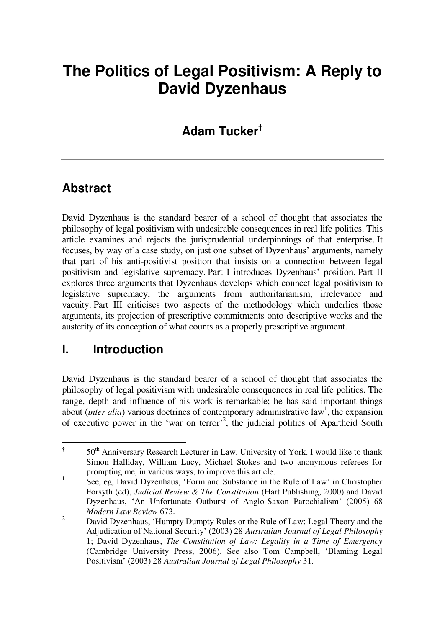# **The Politics of Legal Positivism: A Reply to David Dyzenhaus**

# **Adam Tucker†**

## **Abstract**

David Dyzenhaus is the standard bearer of a school of thought that associates the philosophy of legal positivism with undesirable consequences in real life politics. This article examines and rejects the jurisprudential underpinnings of that enterprise. It focuses, by way of a case study, on just one subset of Dyzenhaus' arguments, namely that part of his anti-positivist position that insists on a connection between legal positivism and legislative supremacy. Part I introduces Dyzenhaus' position. Part II explores three arguments that Dyzenhaus develops which connect legal positivism to legislative supremacy, the arguments from authoritarianism, irrelevance and vacuity. Part III criticises two aspects of the methodology which underlies those arguments, its projection of prescriptive commitments onto descriptive works and the austerity of its conception of what counts as a properly prescriptive argument.

### **I. Introduction**

David Dyzenhaus is the standard bearer of a school of thought that associates the philosophy of legal positivism with undesirable consequences in real life politics. The range, depth and influence of his work is remarkable; he has said important things about *(inter alia)* various doctrines of contemporary administrative law<sup>1</sup>, the expansion of executive power in the 'war on terror'<sup>2</sup>, the judicial politics of Apartheid South

 † 50<sup>th</sup> Anniversary Research Lecturer in Law, University of York. I would like to thank Simon Halliday, William Lucy, Michael Stokes and two anonymous referees for prompting me, in various ways, to improve this article.

<sup>1</sup> See, eg, David Dyzenhaus, 'Form and Substance in the Rule of Law' in Christopher Forsyth (ed), *Judicial Review & The Constitution* (Hart Publishing, 2000) and David Dyzenhaus, 'An Unfortunate Outburst of Anglo-Saxon Parochialism' (2005) 68 *Modern Law Review* 673.

 $\overline{2}$  David Dyzenhaus, 'Humpty Dumpty Rules or the Rule of Law: Legal Theory and the Adjudication of National Security' (2003) 28 *Australian Journal of Legal Philosophy* 1; David Dyzenhaus, *The Constitution of Law: Legality in a Time of Emergency*  (Cambridge University Press, 2006). See also Tom Campbell, 'Blaming Legal Positivism' (2003) 28 *Australian Journal of Legal Philosophy* 31.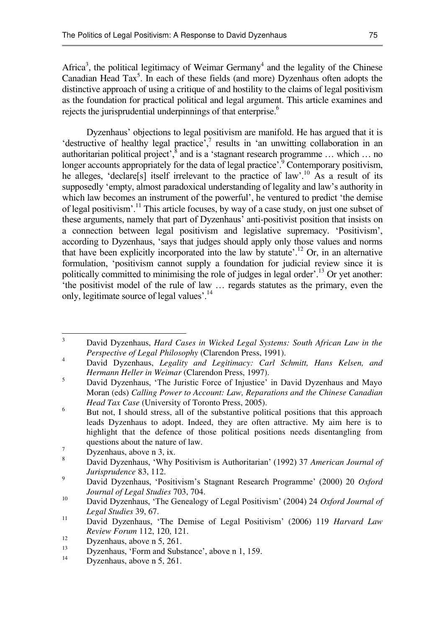Africa<sup>3</sup>, the political legitimacy of Weimar Germany<sup>4</sup> and the legality of the Chinese Canadian Head Tax<sup>5</sup>. In each of these fields (and more) Dyzenhaus often adopts the distinctive approach of using a critique of and hostility to the claims of legal positivism as the foundation for practical political and legal argument. This article examines and rejects the jurisprudential underpinnings of that enterprise.<sup>6</sup>

Dyzenhaus' objections to legal positivism are manifold. He has argued that it is 'destructive of healthy legal practice', $\frac{7}{1}$  results in 'an unwitting collaboration in an authoritarian political project',<sup>8</sup> and is a 'stagnant research programme ... which ... no longer accounts appropriately for the data of legal practice<sup>?</sup> Contemporary positivism, he alleges, 'declare[s] itself irrelevant to the practice of law'.<sup>10</sup> As a result of its supposedly 'empty, almost paradoxical understanding of legality and law's authority in which law becomes an instrument of the powerful', he ventured to predict 'the demise of legal positivism'.<sup>11</sup> This article focuses, by way of a case study, on just one subset of these arguments, namely that part of Dyzenhaus' anti-positivist position that insists on a connection between legal positivism and legislative supremacy. 'Positivism', according to Dyzenhaus, 'says that judges should apply only those values and norms that have been explicitly incorporated into the law by statute'.<sup>12</sup> Or, in an alternative formulation, 'positivism cannot supply a foundation for judicial review since it is politically committed to minimising the role of judges in legal order'.<sup>13</sup> Or yet another: 'the positivist model of the rule of law … regards statutes as the primary, even the only, legitimate source of legal values<sup>'.14</sup>

 3 David Dyzenhaus, *Hard Cases in Wicked Legal Systems: South African Law in the Perspective of Legal Philosophy* (Clarendon Press, 1991).

<sup>4</sup> David Dyzenhaus, *Legality and Legitimacy: Carl Schmitt, Hans Kelsen, and Hermann Heller in Weimar* (Clarendon Press, 1997).

<sup>5</sup> David Dyzenhaus, 'The Juristic Force of Injustice' in David Dyzenhaus and Mayo Moran (eds) *Calling Power to Account: Law, Reparations and the Chinese Canadian Head Tax Case* (University of Toronto Press, 2005).

<sup>6</sup> But not, I should stress, all of the substantive political positions that this approach leads Dyzenhaus to adopt. Indeed, they are often attractive. My aim here is to highlight that the defence of those political positions needs disentangling from questions about the nature of law.

<sup>7</sup> Dyzenhaus, above n 3, ix.

<sup>8</sup> David Dyzenhaus, 'Why Positivism is Authoritarian' (1992) 37 *American Journal of Jurisprudence* 83, 112.

<sup>9</sup> David Dyzenhaus, 'Positivism's Stagnant Research Programme' (2000) 20 *Oxford Journal of Legal Studies* 703, 704.

<sup>10</sup> David Dyzenhaus, 'The Genealogy of Legal Positivism' (2004) 24 *Oxford Journal of Legal Studies* 39, 67.

<sup>11</sup> David Dyzenhaus, 'The Demise of Legal Positivism' (2006) 119 *Harvard Law Review Forum* 112, 120, 121.

<sup>&</sup>lt;sup>12</sup> Dyzenhaus, above n 5, 261.

<sup>13</sup>  $Dyzenhaus, 'Form and Substance', above n 1, 159.$ 

Dyzenhaus, above n 5, 261.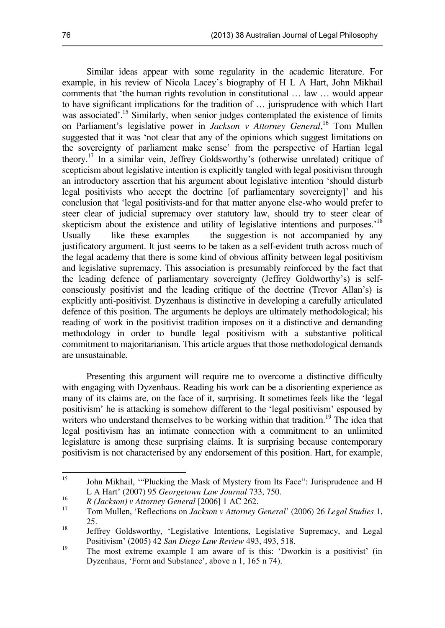Similar ideas appear with some regularity in the academic literature. For example, in his review of Nicola Lacey's biography of H L A Hart, John Mikhail comments that 'the human rights revolution in constitutional … law … would appear to have significant implications for the tradition of … jurisprudence with which Hart was associated'.<sup>15</sup> Similarly, when senior judges contemplated the existence of limits on Parliament's legislative power in *Jackson v Attorney General*, <sup>16</sup> Tom Mullen suggested that it was 'not clear that any of the opinions which suggest limitations on the sovereignty of parliament make sense' from the perspective of Hartian legal theory.<sup>17</sup> In a similar vein, Jeffrey Goldsworthy's (otherwise unrelated) critique of scepticism about legislative intention is explicitly tangled with legal positivism through an introductory assertion that his argument about legislative intention 'should disturb legal positivists who accept the doctrine [of parliamentary sovereignty]' and his conclusion that 'legal positivists-and for that matter anyone else-who would prefer to steer clear of judicial supremacy over statutory law, should try to steer clear of skepticism about the existence and utility of legislative intentions and purposes.<sup>18</sup> Usually  $-$  like these examples  $-$  the suggestion is not accompanied by any justificatory argument. It just seems to be taken as a self-evident truth across much of the legal academy that there is some kind of obvious affinity between legal positivism and legislative supremacy. This association is presumably reinforced by the fact that the leading defence of parliamentary sovereignty (Jeffrey Goldworthy's) is selfconsciously positivist and the leading critique of the doctrine (Trevor Allan's) is explicitly anti-positivist. Dyzenhaus is distinctive in developing a carefully articulated defence of this position. The arguments he deploys are ultimately methodological; his reading of work in the positivist tradition imposes on it a distinctive and demanding methodology in order to bundle legal positivism with a substantive political commitment to majoritarianism. This article argues that those methodological demands are unsustainable.

Presenting this argument will require me to overcome a distinctive difficulty with engaging with Dyzenhaus. Reading his work can be a disorienting experience as many of its claims are, on the face of it, surprising. It sometimes feels like the 'legal positivism' he is attacking is somehow different to the 'legal positivism' espoused by writers who understand themselves to be working within that tradition.<sup>19</sup> The idea that legal positivism has an intimate connection with a commitment to an unlimited legislature is among these surprising claims. It is surprising because contemporary positivism is not characterised by any endorsement of this position. Hart, for example,

<sup>15</sup> <sup>15</sup> John Mikhail, '"Plucking the Mask of Mystery from Its Face": Jurisprudence and H L A Hart' (2007) 95 *Georgetown Law Journal* 733, 750.

<sup>16</sup> *R (Jackson) v Attorney General* [2006] 1 AC 262.

<sup>17</sup> Tom Mullen, 'Reflections on *Jackson v Attorney General*' (2006) 26 *Legal Studies* 1, 25.

<sup>18</sup> Jeffrey Goldsworthy, 'Legislative Intentions, Legislative Supremacy, and Legal Positivism' (2005) 42 *San Diego Law Review* 493, 493, 518.

<sup>19</sup> The most extreme example I am aware of is this: 'Dworkin is a positivist' (in Dyzenhaus, 'Form and Substance', above n 1, 165 n 74).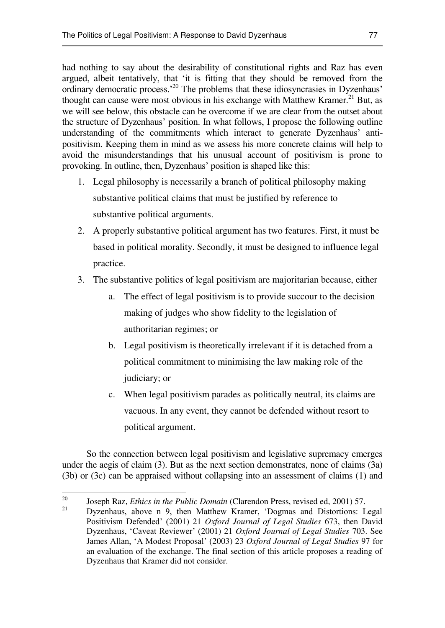had nothing to say about the desirability of constitutional rights and Raz has even argued, albeit tentatively, that 'it is fitting that they should be removed from the ordinary democratic process.'<sup>20</sup> The problems that these idiosyncrasies in Dyzenhaus' thought can cause were most obvious in his exchange with Matthew Kramer.<sup>21</sup> But, as we will see below, this obstacle can be overcome if we are clear from the outset about the structure of Dyzenhaus' position. In what follows, I propose the following outline understanding of the commitments which interact to generate Dyzenhaus' antipositivism. Keeping them in mind as we assess his more concrete claims will help to avoid the misunderstandings that his unusual account of positivism is prone to provoking. In outline, then, Dyzenhaus' position is shaped like this:

- 1. Legal philosophy is necessarily a branch of political philosophy making substantive political claims that must be justified by reference to substantive political arguments.
- 2. A properly substantive political argument has two features. First, it must be based in political morality. Secondly, it must be designed to influence legal practice.
- 3. The substantive politics of legal positivism are majoritarian because, either
	- a. The effect of legal positivism is to provide succour to the decision making of judges who show fidelity to the legislation of authoritarian regimes; or
	- b. Legal positivism is theoretically irrelevant if it is detached from a political commitment to minimising the law making role of the judiciary; or
	- c. When legal positivism parades as politically neutral, its claims are vacuous. In any event, they cannot be defended without resort to political argument.

So the connection between legal positivism and legislative supremacy emerges under the aegis of claim (3). But as the next section demonstrates, none of claims (3a) (3b) or (3c) can be appraised without collapsing into an assessment of claims (1) and

<sup>20</sup> <sup>20</sup> Joseph Raz, *Ethics in the Public Domain* (Clarendon Press, revised ed, 2001) 57.

<sup>21</sup> Dyzenhaus, above n 9, then Matthew Kramer, 'Dogmas and Distortions: Legal Positivism Defended' (2001) 21 *Oxford Journal of Legal Studies* 673, then David Dyzenhaus, 'Caveat Reviewer' (2001) 21 *Oxford Journal of Legal Studies* 703. See James Allan, 'A Modest Proposal' (2003) 23 *Oxford Journal of Legal Studies* 97 for an evaluation of the exchange. The final section of this article proposes a reading of Dyzenhaus that Kramer did not consider.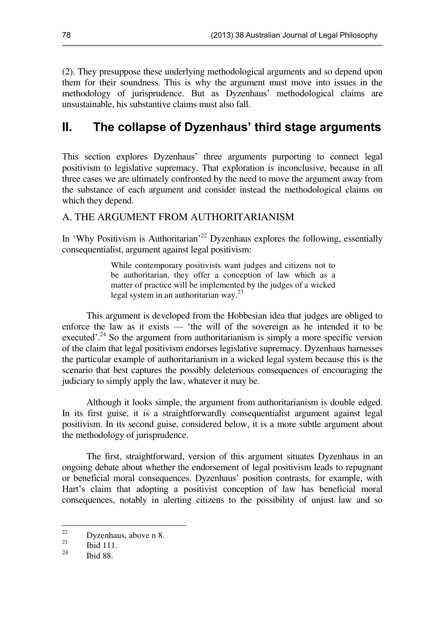(2). They presuppose these underlying methodological arguments and so depend upon them for their soundness. This is why the argument must move into issues in the methodology of jurisprudence. But as Dyzenhaus' methodological claims are unsustainable, his substantive claims must also fall.

# **II. The collapse of Dyzenhaus' third stage arguments**

This section explores Dyzenhaus' three arguments purporting to connect legal positivism to legislative supremacy. That exploration is inconclusive, because in all three cases we are ultimately confronted by the need to move the argument away from the substance of each argument and consider instead the methodological claims on which they depend.

#### A. THE ARGUMENT FROM AUTHORITARIANISM

In 'Why Positivism is Authoritarian<sup>,22</sup> Dyzenhaus explores the following, essentially consequentialist, argument against legal positivism:

> While contemporary positivists want judges and citizens not to be authoritarian, they offer a conception of law which as a matter of practice will be implemented by the judges of a wicked legal system in an authoritarian way.<sup>23</sup>

This argument is developed from the Hobbesian idea that judges are obliged to enforce the law as it exists — 'the will of the sovereign as he intended it to be executed'.<sup>24</sup> So the argument from authoritarianism is simply a more specific version of the claim that legal positivism endorses legislative supremacy. Dyzenhaus harnesses the particular example of authoritarianism in a wicked legal system because this is the scenario that best captures the possibly deleterious consequences of encouraging the judiciary to simply apply the law, whatever it may be.

Although it looks simple, the argument from authoritarianism is double edged. In its first guise, it is a straightforwardly consequentialist argument against legal positivism. In its second guise, considered below, it is a more subtle argument about the methodology of jurisprudence.

The first, straightforward, version of this argument situates Dyzenhaus in an ongoing debate about whether the endorsement of legal positivism leads to repugnant or beneficial moral consequences. Dyzenhaus' position contrasts, for example, with Hart's claim that adopting a positivist conception of law has beneficial moral consequences, notably in alerting citizens to the possibility of unjust law and so

 $22$  $\frac{22}{23}$  Dyzenhaus, above n 8.

**Ibid 111.** 

<sup>24</sup> Ibid 88.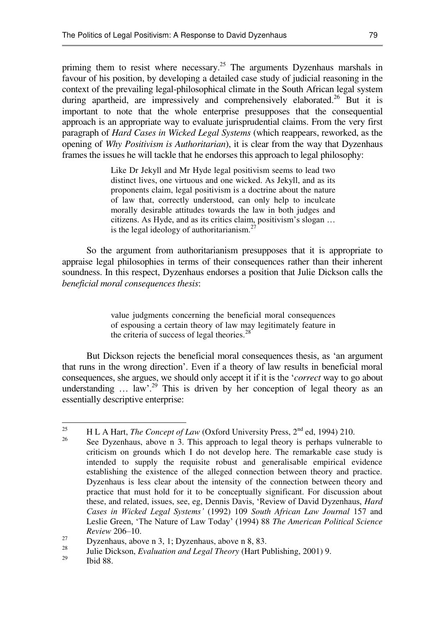priming them to resist where necessary.<sup>25</sup> The arguments Dyzenhaus marshals in favour of his position, by developing a detailed case study of judicial reasoning in the context of the prevailing legal-philosophical climate in the South African legal system during apartheid, are impressively and comprehensively elaborated.<sup>26</sup> But it is important to note that the whole enterprise presupposes that the consequential approach is an appropriate way to evaluate jurisprudential claims. From the very first paragraph of *Hard Cases in Wicked Legal Systems* (which reappears, reworked, as the opening of *Why Positivism is Authoritarian*), it is clear from the way that Dyzenhaus frames the issues he will tackle that he endorses this approach to legal philosophy:

> Like Dr Jekyll and Mr Hyde legal positivism seems to lead two distinct lives, one virtuous and one wicked. As Jekyll, and as its proponents claim, legal positivism is a doctrine about the nature of law that, correctly understood, can only help to inculcate morally desirable attitudes towards the law in both judges and citizens. As Hyde, and as its critics claim, positivism's slogan … is the legal ideology of authoritarianism. $<sup>2</sup>$ </sup>

So the argument from authoritarianism presupposes that it is appropriate to appraise legal philosophies in terms of their consequences rather than their inherent soundness. In this respect, Dyzenhaus endorses a position that Julie Dickson calls the *beneficial moral consequences thesis*:

> value judgments concerning the beneficial moral consequences of espousing a certain theory of law may legitimately feature in the criteria of success of legal theories. $28$

But Dickson rejects the beneficial moral consequences thesis, as 'an argument that runs in the wrong direction'. Even if a theory of law results in beneficial moral consequences, she argues, we should only accept it if it is the '*correct* way to go about understanding  $\ldots$  law'.<sup>29</sup> This is driven by her conception of legal theory as an essentially descriptive enterprise:

Ibid 88.

<sup>25</sup> <sup>25</sup> H L A Hart, *The Concept of Law* (Oxford University Press,  $2<sup>nd</sup>$  ed, 1994) 210.

See Dyzenhaus, above n 3. This approach to legal theory is perhaps vulnerable to criticism on grounds which I do not develop here. The remarkable case study is intended to supply the requisite robust and generalisable empirical evidence establishing the existence of the alleged connection between theory and practice. Dyzenhaus is less clear about the intensity of the connection between theory and practice that must hold for it to be conceptually significant. For discussion about these, and related, issues, see, eg, Dennis Davis, 'Review of David Dyzenhaus, *Hard Cases in Wicked Legal Systems'* (1992) 109 *South African Law Journal* 157 and Leslie Green, 'The Nature of Law Today' (1994) 88 *The American Political Science Review* 206–10.

<sup>&</sup>lt;sup>27</sup> Dyzenhaus, above n 3, 1; Dyzenhaus, above n 8, 83.

<sup>&</sup>lt;sup>28</sup> Julie Dickson, *Evaluation and Legal Theory* (Hart Publishing, 2001) 9.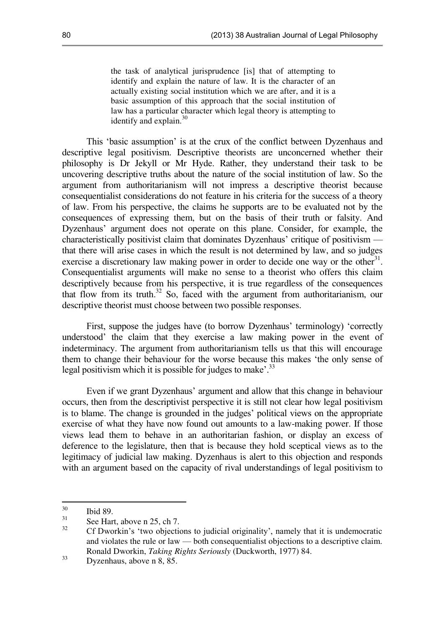the task of analytical jurisprudence [is] that of attempting to identify and explain the nature of law. It is the character of an actually existing social institution which we are after, and it is a basic assumption of this approach that the social institution of law has a particular character which legal theory is attempting to identify and explain. $30$ 

This 'basic assumption' is at the crux of the conflict between Dyzenhaus and descriptive legal positivism. Descriptive theorists are unconcerned whether their philosophy is Dr Jekyll or Mr Hyde. Rather, they understand their task to be uncovering descriptive truths about the nature of the social institution of law. So the argument from authoritarianism will not impress a descriptive theorist because consequentialist considerations do not feature in his criteria for the success of a theory of law. From his perspective, the claims he supports are to be evaluated not by the consequences of expressing them, but on the basis of their truth or falsity. And Dyzenhaus' argument does not operate on this plane. Consider, for example, the characteristically positivist claim that dominates Dyzenhaus' critique of positivism that there will arise cases in which the result is not determined by law, and so judges exercise a discretionary law making power in order to decide one way or the other<sup>31</sup>. Consequentialist arguments will make no sense to a theorist who offers this claim descriptively because from his perspective, it is true regardless of the consequences that flow from its truth.<sup>32</sup> So, faced with the argument from authoritarianism, our descriptive theorist must choose between two possible responses.

First, suppose the judges have (to borrow Dyzenhaus' terminology) 'correctly understood' the claim that they exercise a law making power in the event of indeterminacy. The argument from authoritarianism tells us that this will encourage them to change their behaviour for the worse because this makes 'the only sense of legal positivism which it is possible for judges to make'.<sup>33</sup>

Even if we grant Dyzenhaus' argument and allow that this change in behaviour occurs, then from the descriptivist perspective it is still not clear how legal positivism is to blame. The change is grounded in the judges' political views on the appropriate exercise of what they have now found out amounts to a law-making power. If those views lead them to behave in an authoritarian fashion, or display an excess of deference to the legislature, then that is because they hold sceptical views as to the legitimacy of judicial law making. Dyzenhaus is alert to this objection and responds with an argument based on the capacity of rival understandings of legal positivism to

<sup>30</sup>  $rac{30}{31}$  Ibid 89.

See Hart, above n 25, ch 7.

<sup>32</sup> Cf Dworkin's 'two objections to judicial originality', namely that it is undemocratic and violates the rule or law — both consequentialist objections to a descriptive claim. Ronald Dworkin, *Taking Rights Seriously* (Duckworth, 1977) 84.

 $33$  Dyzenhaus, above n 8, 85.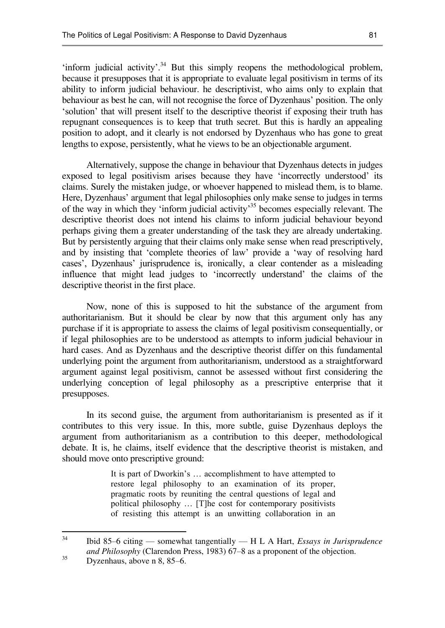'inform judicial activity'.<sup>34</sup> But this simply reopens the methodological problem, because it presupposes that it is appropriate to evaluate legal positivism in terms of its ability to inform judicial behaviour. he descriptivist, who aims only to explain that behaviour as best he can, will not recognise the force of Dyzenhaus' position. The only 'solution' that will present itself to the descriptive theorist if exposing their truth has repugnant consequences is to keep that truth secret. But this is hardly an appealing position to adopt, and it clearly is not endorsed by Dyzenhaus who has gone to great lengths to expose, persistently, what he views to be an objectionable argument.

Alternatively, suppose the change in behaviour that Dyzenhaus detects in judges exposed to legal positivism arises because they have 'incorrectly understood' its claims. Surely the mistaken judge, or whoever happened to mislead them, is to blame. Here, Dyzenhaus' argument that legal philosophies only make sense to judges in terms of the way in which they 'inform judicial activity'<sup>35</sup> becomes especially relevant. The descriptive theorist does not intend his claims to inform judicial behaviour beyond perhaps giving them a greater understanding of the task they are already undertaking. But by persistently arguing that their claims only make sense when read prescriptively, and by insisting that 'complete theories of law' provide a 'way of resolving hard cases', Dyzenhaus' jurisprudence is, ironically, a clear contender as a misleading influence that might lead judges to 'incorrectly understand' the claims of the descriptive theorist in the first place.

Now, none of this is supposed to hit the substance of the argument from authoritarianism. But it should be clear by now that this argument only has any purchase if it is appropriate to assess the claims of legal positivism consequentially, or if legal philosophies are to be understood as attempts to inform judicial behaviour in hard cases. And as Dyzenhaus and the descriptive theorist differ on this fundamental underlying point the argument from authoritarianism, understood as a straightforward argument against legal positivism, cannot be assessed without first considering the underlying conception of legal philosophy as a prescriptive enterprise that it presupposes.

In its second guise, the argument from authoritarianism is presented as if it contributes to this very issue. In this, more subtle, guise Dyzenhaus deploys the argument from authoritarianism as a contribution to this deeper, methodological debate. It is, he claims, itself evidence that the descriptive theorist is mistaken, and should move onto prescriptive ground:

> It is part of Dworkin's … accomplishment to have attempted to restore legal philosophy to an examination of its proper, pragmatic roots by reuniting the central questions of legal and political philosophy … [T]he cost for contemporary positivists of resisting this attempt is an unwitting collaboration in an

 $34$ <sup>34</sup> Ibid 85–6 citing — somewhat tangentially — H L A Hart, *Essays in Jurisprudence and Philosophy* (Clarendon Press, 1983) 67–8 as a proponent of the objection.

 $35$  Dyzenhaus, above n 8, 85–6.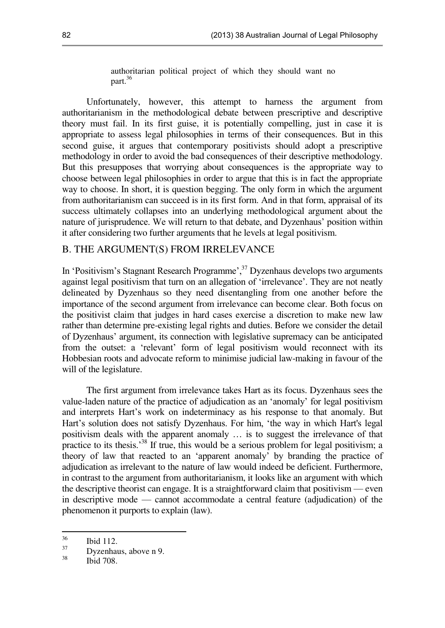authoritarian political project of which they should want no part.<sup>36</sup>

Unfortunately, however, this attempt to harness the argument from authoritarianism in the methodological debate between prescriptive and descriptive theory must fail. In its first guise, it is potentially compelling, just in case it is appropriate to assess legal philosophies in terms of their consequences. But in this second guise, it argues that contemporary positivists should adopt a prescriptive methodology in order to avoid the bad consequences of their descriptive methodology. But this presupposes that worrying about consequences is the appropriate way to choose between legal philosophies in order to argue that this is in fact the appropriate way to choose. In short, it is question begging. The only form in which the argument from authoritarianism can succeed is in its first form. And in that form, appraisal of its success ultimately collapses into an underlying methodological argument about the nature of jurisprudence. We will return to that debate, and Dyzenhaus' position within it after considering two further arguments that he levels at legal positivism.

#### B. THE ARGUMENT(S) FROM IRRELEVANCE

In 'Positivism's Stagnant Research Programme',<sup>37</sup> Dyzenhaus develops two arguments against legal positivism that turn on an allegation of 'irrelevance'. They are not neatly delineated by Dyzenhaus so they need disentangling from one another before the importance of the second argument from irrelevance can become clear. Both focus on the positivist claim that judges in hard cases exercise a discretion to make new law rather than determine pre-existing legal rights and duties. Before we consider the detail of Dyzenhaus' argument, its connection with legislative supremacy can be anticipated from the outset: a 'relevant' form of legal positivism would reconnect with its Hobbesian roots and advocate reform to minimise judicial law-making in favour of the will of the legislature.

The first argument from irrelevance takes Hart as its focus. Dyzenhaus sees the value-laden nature of the practice of adjudication as an 'anomaly' for legal positivism and interprets Hart's work on indeterminacy as his response to that anomaly. But Hart's solution does not satisfy Dyzenhaus. For him, 'the way in which Hart's legal positivism deals with the apparent anomaly … is to suggest the irrelevance of that practice to its thesis.<sup>38</sup> If true, this would be a serious problem for legal positivism; a theory of law that reacted to an 'apparent anomaly' by branding the practice of adjudication as irrelevant to the nature of law would indeed be deficient. Furthermore, in contrast to the argument from authoritarianism, it looks like an argument with which the descriptive theorist can engage. It is a straightforward claim that positivism — even in descriptive mode — cannot accommodate a central feature (adjudication) of the phenomenon it purports to explain (law).

<sup>36</sup>  $rac{36}{37}$  Ibid 112.

 $\frac{37}{38}$  Dyzenhaus, above n 9.

Ibid 708.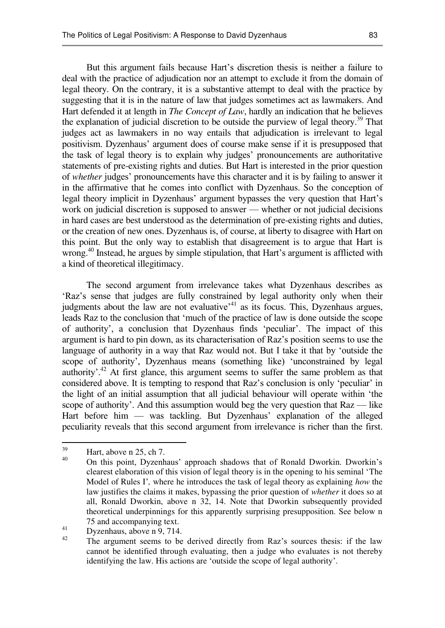But this argument fails because Hart's discretion thesis is neither a failure to deal with the practice of adjudication nor an attempt to exclude it from the domain of legal theory. On the contrary, it is a substantive attempt to deal with the practice by suggesting that it is in the nature of law that judges sometimes act as lawmakers. And Hart defended it at length in *The Concept of Law*, hardly an indication that he believes the explanation of judicial discretion to be outside the purview of legal theory.<sup>39</sup> That judges act as lawmakers in no way entails that adjudication is irrelevant to legal positivism. Dyzenhaus' argument does of course make sense if it is presupposed that the task of legal theory is to explain why judges' pronouncements are authoritative statements of pre-existing rights and duties. But Hart is interested in the prior question of *whether* judges' pronouncements have this character and it is by failing to answer it in the affirmative that he comes into conflict with Dyzenhaus. So the conception of legal theory implicit in Dyzenhaus' argument bypasses the very question that Hart's work on judicial discretion is supposed to answer — whether or not judicial decisions in hard cases are best understood as the determination of pre-existing rights and duties, or the creation of new ones. Dyzenhaus is, of course, at liberty to disagree with Hart on this point. But the only way to establish that disagreement is to argue that Hart is wrong.<sup>40</sup> Instead, he argues by simple stipulation, that Hart's argument is afflicted with a kind of theoretical illegitimacy.

The second argument from irrelevance takes what Dyzenhaus describes as 'Raz's sense that judges are fully constrained by legal authority only when their judgments about the law are not evaluative<sup> $41$ </sup> as its focus. This, Dyzenhaus argues, leads Raz to the conclusion that 'much of the practice of law is done outside the scope of authority', a conclusion that Dyzenhaus finds 'peculiar'. The impact of this argument is hard to pin down, as its characterisation of Raz's position seems to use the language of authority in a way that Raz would not. But I take it that by 'outside the scope of authority', Dyzenhaus means (something like) 'unconstrained by legal authority'.<sup>42</sup> At first glance, this argument seems to suffer the same problem as that considered above. It is tempting to respond that Raz's conclusion is only 'peculiar' in the light of an initial assumption that all judicial behaviour will operate within 'the scope of authority'. And this assumption would beg the very question that Raz — like Hart before him — was tackling. But Dyzenhaus' explanation of the alleged peculiarity reveals that this second argument from irrelevance is richer than the first.

<sup>39</sup> Hart, above n 25, ch 7.

<sup>40</sup> On this point, Dyzenhaus' approach shadows that of Ronald Dworkin. Dworkin's clearest elaboration of this vision of legal theory is in the opening to his seminal 'The Model of Rules I'*,* where he introduces the task of legal theory as explaining *how* the law justifies the claims it makes, bypassing the prior question of *whether* it does so at all, Ronald Dworkin, above n 32, 14. Note that Dworkin subsequently provided theoretical underpinnings for this apparently surprising presupposition. See below n 75 and accompanying text.

<sup>41</sup> Dyzenhaus, above n 9, 714.

<sup>42</sup> The argument seems to be derived directly from Raz's sources thesis: if the law cannot be identified through evaluating, then a judge who evaluates is not thereby identifying the law. His actions are 'outside the scope of legal authority'.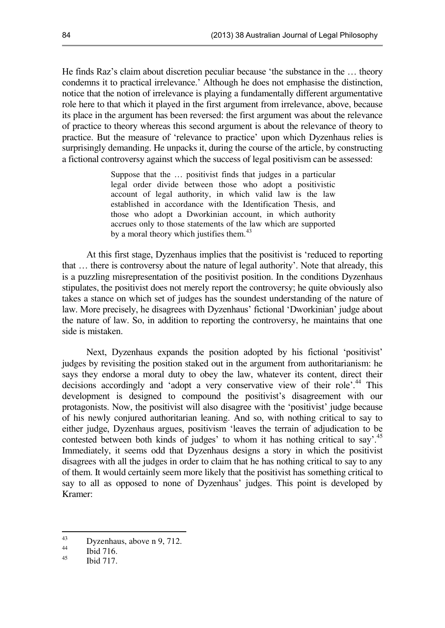He finds Raz's claim about discretion peculiar because 'the substance in the … theory condemns it to practical irrelevance.' Although he does not emphasise the distinction, notice that the notion of irrelevance is playing a fundamentally different argumentative role here to that which it played in the first argument from irrelevance, above, because its place in the argument has been reversed: the first argument was about the relevance of practice to theory whereas this second argument is about the relevance of theory to practice. But the measure of 'relevance to practice' upon which Dyzenhaus relies is surprisingly demanding. He unpacks it, during the course of the article, by constructing a fictional controversy against which the success of legal positivism can be assessed:

> Suppose that the … positivist finds that judges in a particular legal order divide between those who adopt a positivistic account of legal authority, in which valid law is the law established in accordance with the Identification Thesis, and those who adopt a Dworkinian account, in which authority accrues only to those statements of the law which are supported by a moral theory which justifies them.<sup>43</sup>

At this first stage, Dyzenhaus implies that the positivist is 'reduced to reporting that … there is controversy about the nature of legal authority'. Note that already, this is a puzzling misrepresentation of the positivist position. In the conditions Dyzenhaus stipulates, the positivist does not merely report the controversy; he quite obviously also takes a stance on which set of judges has the soundest understanding of the nature of law. More precisely, he disagrees with Dyzenhaus' fictional 'Dworkinian' judge about the nature of law. So, in addition to reporting the controversy, he maintains that one side is mistaken.

Next, Dyzenhaus expands the position adopted by his fictional 'positivist' judges by revisiting the position staked out in the argument from authoritarianism: he says they endorse a moral duty to obey the law, whatever its content, direct their decisions accordingly and 'adopt a very conservative view of their role'.<sup>44</sup> This development is designed to compound the positivist's disagreement with our protagonists. Now, the positivist will also disagree with the 'positivist' judge because of his newly conjured authoritarian leaning. And so, with nothing critical to say to either judge, Dyzenhaus argues, positivism 'leaves the terrain of adjudication to be contested between both kinds of judges' to whom it has nothing critical to say'.<sup>45</sup> Immediately, it seems odd that Dyzenhaus designs a story in which the positivist disagrees with all the judges in order to claim that he has nothing critical to say to any of them. It would certainly seem more likely that the positivist has something critical to say to all as opposed to none of Dyzenhaus' judges. This point is developed by Kramer:

 $43$  $\frac{43}{44}$  Dyzenhaus, above n 9, 712.

 $\frac{44}{45}$  Ibid 716.

**Ibid 717.**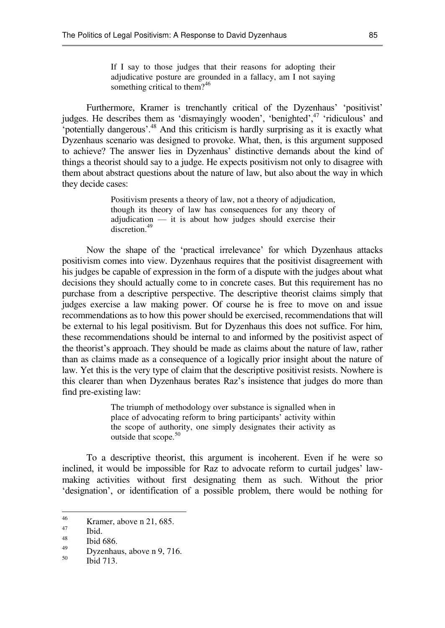If I say to those judges that their reasons for adopting their adjudicative posture are grounded in a fallacy, am I not saying something critical to them?<sup>46</sup>

Furthermore, Kramer is trenchantly critical of the Dyzenhaus' 'positivist' judges. He describes them as 'dismayingly wooden', 'benighted',<sup>47</sup> 'ridiculous' and 'potentially dangerous'.<sup>48</sup> And this criticism is hardly surprising as it is exactly what Dyzenhaus scenario was designed to provoke. What, then, is this argument supposed to achieve? The answer lies in Dyzenhaus' distinctive demands about the kind of things a theorist should say to a judge. He expects positivism not only to disagree with them about abstract questions about the nature of law, but also about the way in which they decide cases:

> Positivism presents a theory of law, not a theory of adjudication, though its theory of law has consequences for any theory of adjudication — it is about how judges should exercise their discretion.<sup>49</sup>

Now the shape of the 'practical irrelevance' for which Dyzenhaus attacks positivism comes into view. Dyzenhaus requires that the positivist disagreement with his judges be capable of expression in the form of a dispute with the judges about what decisions they should actually come to in concrete cases. But this requirement has no purchase from a descriptive perspective. The descriptive theorist claims simply that judges exercise a law making power. Of course he is free to move on and issue recommendations as to how this power should be exercised, recommendations that will be external to his legal positivism. But for Dyzenhaus this does not suffice. For him, these recommendations should be internal to and informed by the positivist aspect of the theorist's approach. They should be made as claims about the nature of law, rather than as claims made as a consequence of a logically prior insight about the nature of law. Yet this is the very type of claim that the descriptive positivist resists. Nowhere is this clearer than when Dyzenhaus berates Raz's insistence that judges do more than find pre-existing law:

> The triumph of methodology over substance is signalled when in place of advocating reform to bring participants' activity within the scope of authority, one simply designates their activity as outside that scope.<sup>50</sup>

To a descriptive theorist, this argument is incoherent. Even if he were so inclined, it would be impossible for Raz to advocate reform to curtail judges' lawmaking activities without first designating them as such. Without the prior 'designation', or identification of a possible problem, there would be nothing for

<sup>46</sup>  $\frac{46}{47}$  Kramer, above n 21, 685.

 $\frac{47}{48}$  Ibid.

 $^{48}$  Ibid 686.

 $^{49}_{50}$  Dyzenhaus, above n 9, 716.

Ibid 713.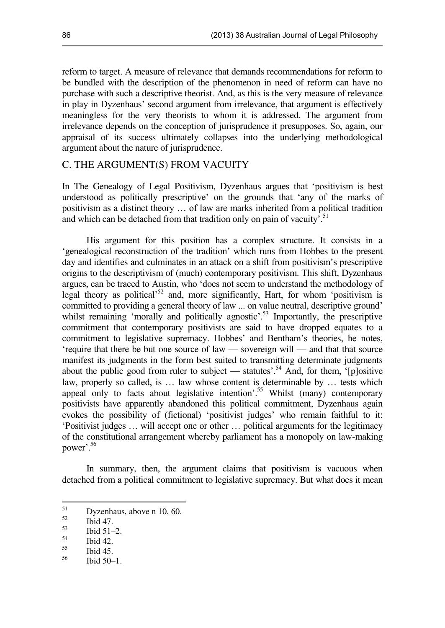reform to target. A measure of relevance that demands recommendations for reform to be bundled with the description of the phenomenon in need of reform can have no purchase with such a descriptive theorist. And, as this is the very measure of relevance in play in Dyzenhaus' second argument from irrelevance, that argument is effectively meaningless for the very theorists to whom it is addressed. The argument from irrelevance depends on the conception of jurisprudence it presupposes. So, again, our appraisal of its success ultimately collapses into the underlying methodological argument about the nature of jurisprudence.

#### C. THE ARGUMENT(S) FROM VACUITY

In The Genealogy of Legal Positivism, Dyzenhaus argues that 'positivism is best understood as politically prescriptive' on the grounds that 'any of the marks of positivism as a distinct theory … of law are marks inherited from a political tradition and which can be detached from that tradition only on pain of vacuity'.<sup>51</sup>

His argument for this position has a complex structure. It consists in a 'genealogical reconstruction of the tradition' which runs from Hobbes to the present day and identifies and culminates in an attack on a shift from positivism's prescriptive origins to the descriptivism of (much) contemporary positivism. This shift, Dyzenhaus argues, can be traced to Austin, who 'does not seem to understand the methodology of legal theory as political<sup>552</sup> and, more significantly, Hart, for whom 'positivism is committed to providing a general theory of law ... on value neutral, descriptive ground' whilst remaining 'morally and politically agnostic'.<sup>53</sup> Importantly, the prescriptive commitment that contemporary positivists are said to have dropped equates to a commitment to legislative supremacy. Hobbes' and Bentham's theories, he notes, 'require that there be but one source of law — sovereign will — and that that source manifest its judgments in the form best suited to transmitting determinate judgments about the public good from ruler to subject — statutes<sup>5,4</sup> And, for them,  $\phi$ [p]ositive law, properly so called, is … law whose content is determinable by … tests which appeal only to facts about legislative intention'.<sup>55</sup> Whilst (many) contemporary positivists have apparently abandoned this political commitment, Dyzenhaus again evokes the possibility of (fictional) 'positivist judges' who remain faithful to it: 'Positivist judges … will accept one or other … political arguments for the legitimacy of the constitutional arrangement whereby parliament has a monopoly on law-making power'.<sup>56</sup>

In summary, then, the argument claims that positivism is vacuous when detached from a political commitment to legislative supremacy. But what does it mean

<sup>56</sup> Ibid 50–1.

<sup>51</sup>  $52 \qquad \text{Dyzenhaus, above n } 10, 60.$ 

 $\frac{52}{53}$  Ibid 47.

 $\frac{53}{54}$  Ibid 51–2.

 $\begin{array}{c} 54 \\ 55 \end{array}$  Ibid 42.

 $\begin{array}{c} 55 \\ 56 \end{array}$  Ibid 45.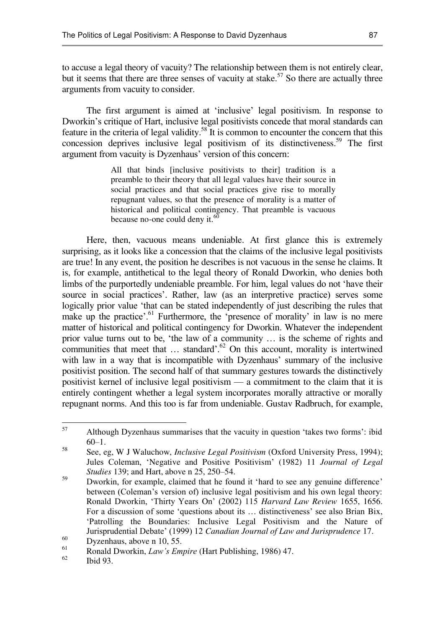to accuse a legal theory of vacuity? The relationship between them is not entirely clear, but it seems that there are three senses of vacuity at stake.<sup>57</sup> So there are actually three arguments from vacuity to consider.

The first argument is aimed at 'inclusive' legal positivism. In response to Dworkin's critique of Hart, inclusive legal positivists concede that moral standards can feature in the criteria of legal validity.<sup>58</sup> It is common to encounter the concern that this concession deprives inclusive legal positivism of its distinctiveness.<sup>59</sup> The first argument from vacuity is Dyzenhaus' version of this concern:

> All that binds [inclusive positivists to their] tradition is a preamble to their theory that all legal values have their source in social practices and that social practices give rise to morally repugnant values, so that the presence of morality is a matter of historical and political contingency. That preamble is vacuous because no-one could deny it. $60$

Here, then, vacuous means undeniable. At first glance this is extremely surprising, as it looks like a concession that the claims of the inclusive legal positivists are true! In any event, the position he describes is not vacuous in the sense he claims. It is, for example, antithetical to the legal theory of Ronald Dworkin, who denies both limbs of the purportedly undeniable preamble. For him, legal values do not 'have their source in social practices'. Rather, law (as an interpretive practice) serves some logically prior value 'that can be stated independently of just describing the rules that make up the practice'.<sup>61</sup> Furthermore, the 'presence of morality' in law is no mere matter of historical and political contingency for Dworkin. Whatever the independent prior value turns out to be, 'the law of a community … is the scheme of rights and communities that meet that  $\ldots$  standard'.<sup>62</sup> On this account, morality is intertwined with law in a way that is incompatible with Dyzenhaus' summary of the inclusive positivist position. The second half of that summary gestures towards the distinctively positivist kernel of inclusive legal positivism — a commitment to the claim that it is entirely contingent whether a legal system incorporates morally attractive or morally repugnant norms. And this too is far from undeniable. Gustav Radbruch, for example,

<sup>57</sup>  Although Dyzenhaus summarises that the vacuity in question 'takes two forms': ibid 60–1.

<sup>58</sup> See, eg, W J Waluchow, *Inclusive Legal Positivism* (Oxford University Press, 1994); Jules Coleman, 'Negative and Positive Positivism' (1982) 11 *Journal of Legal Studies* 139; and Hart, above n 25, 250–54.

<sup>59</sup> Dworkin, for example, claimed that he found it 'hard to see any genuine difference' between (Coleman's version of) inclusive legal positivism and his own legal theory: Ronald Dworkin, 'Thirty Years On' (2002) 115 *Harvard Law Review* 1655, 1656. For a discussion of some 'questions about its … distinctiveness' see also Brian Bix, 'Patrolling the Boundaries: Inclusive Legal Positivism and the Nature of Jurisprudential Debate' (1999) 12 *Canadian Journal of Law and Jurisprudence* 17.

 $^{60}$  Dyzenhaus, above n 10, 55.

 $^{61}$  Ronald Dworkin, *Law's Empire* (Hart Publishing, 1986) 47.

Ibid 93.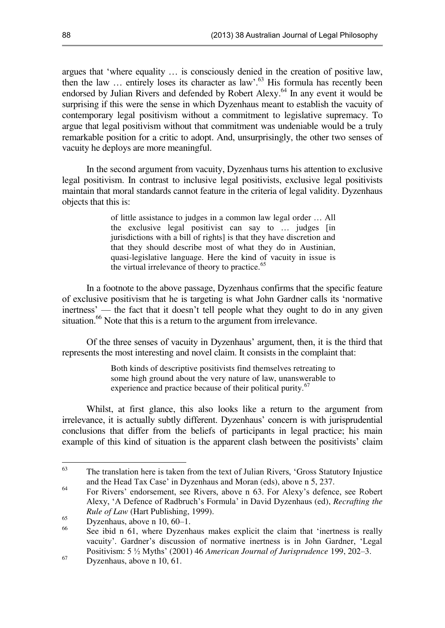<span id="page-15-0"></span>argues that 'where equality … is consciously denied in the creation of positive law, then the law … entirely loses its character as law'. <sup>63</sup> His formula has recently been endorsed by Julian Rivers and defended by Robert Alexy.<sup>64</sup> In any event it would be surprising if this were the sense in which Dyzenhaus meant to establish the vacuity of contemporary legal positivism without a commitment to legislative supremacy. To argue that legal positivism without that commitment was undeniable would be a truly remarkable position for a critic to adopt. And, unsurprisingly, the other two senses of vacuity he deploys are more meaningful.

In the second argument from vacuity, Dyzenhaus turns his attention to exclusive legal positivism. In contrast to inclusive legal positivists, exclusive legal positivists maintain that moral standards cannot feature in the criteria of legal validity. Dyzenhaus objects that this is:

> of little assistance to judges in a common law legal order … All the exclusive legal positivist can say to … judges [in jurisdictions with a bill of rights] is that they have discretion and that they should describe most of what they do in Austinian, quasi-legislative language. Here the kind of vacuity in issue is the virtual irrelevance of theory to practice.<sup>65</sup>

In a footnote to the above passage, Dyzenhaus confirms that the specific feature of exclusive positivism that he is targeting is what John Gardner calls its 'normative inertness' — the fact that it doesn't tell people what they ought to do in any given situation.<sup>66</sup> Note that this is a return to the argument from irrelevance.

Of the three senses of vacuity in Dyzenhaus' argument, then, it is the third that represents the most interesting and novel claim. It consists in the complaint that:

> Both kinds of descriptive positivists find themselves retreating to some high ground about the very nature of law, unanswerable to experience and practice because of their political purity.<sup>67</sup>

Whilst, at first glance, this also looks like a return to the argument from irrelevance, it is actually subtly different. Dyzenhaus' concern is with jurisprudential conclusions that differ from the beliefs of participants in legal practice; his main example of this kind of situation is the apparent clash between the positivists' claim

<sup>63</sup> The translation here is taken from the text of Julian Rivers, 'Gross Statutory Injustice and the Head Tax Case' in Dyzenhaus and Moran (eds), above n 5, 237.

<sup>64</sup> For Rivers' endorsement, see Rivers, above n [63](#page-15-0). For Alexy's defence, see Robert Alexy, 'A Defence of Radbruch's Formula' in David Dyzenhaus (ed), *Recrafting the Rule of Law* (Hart Publishing, 1999).

 $\frac{65}{66}$  Dyzenhaus, above n 10, 60–1.

See ibid n 61, where Dyzenhaus makes explicit the claim that 'inertness is really vacuity'. Gardner's discussion of normative inertness is in John Gardner, 'Legal Positivism: 5 ½ Myths' (2001) 46 *American Journal of Jurisprudence* 199, 202–3.

<sup>67</sup> Dyzenhaus, above n 10, 61.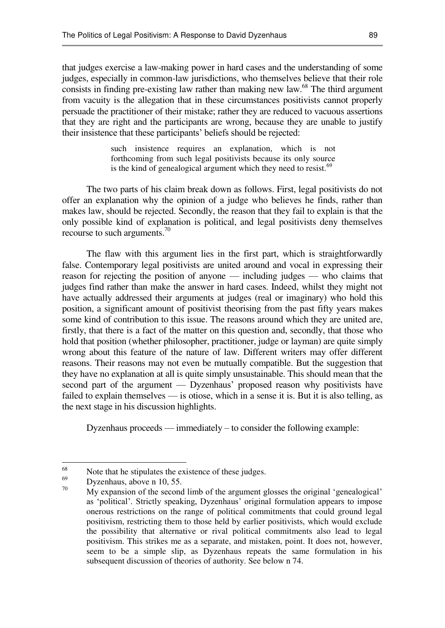that judges exercise a law-making power in hard cases and the understanding of some judges, especially in common-law jurisdictions, who themselves believe that their role consists in finding pre-existing law rather than making new law.<sup>68</sup> The third argument from vacuity is the allegation that in these circumstances positivists cannot properly persuade the practitioner of their mistake; rather they are reduced to vacuous assertions that they are right and the participants are wrong, because they are unable to justify their insistence that these participants' beliefs should be rejected:

> such insistence requires an explanation, which is not forthcoming from such legal positivists because its only source is the kind of genealogical argument which they need to resist.<sup>69</sup>

The two parts of his claim break down as follows. First, legal positivists do not offer an explanation why the opinion of a judge who believes he finds, rather than makes law, should be rejected. Secondly, the reason that they fail to explain is that the only possible kind of explanation is political, and legal positivists deny themselves recourse to such arguments. $^{70}$ 

The flaw with this argument lies in the first part, which is straightforwardly false. Contemporary legal positivists are united around and vocal in expressing their reason for rejecting the position of anyone — including judges — who claims that judges find rather than make the answer in hard cases. Indeed, whilst they might not have actually addressed their arguments at judges (real or imaginary) who hold this position, a significant amount of positivist theorising from the past fifty years makes some kind of contribution to this issue. The reasons around which they are united are, firstly, that there is a fact of the matter on this question and, secondly, that those who hold that position (whether philosopher, practitioner, judge or layman) are quite simply wrong about this feature of the nature of law. Different writers may offer different reasons. Their reasons may not even be mutually compatible. But the suggestion that they have no explanation at all is quite simply unsustainable. This should mean that the second part of the argument — Dyzenhaus' proposed reason why positivists have failed to explain themselves — is otiose, which in a sense it is. But it is also telling, as the next stage in his discussion highlights.

Dyzenhaus proceeds — immediately – to consider the following example:

Dyzenhaus, above n 10, 55. 70

<sup>68</sup> <sup>68</sup> Note that he stipulates the existence of these judges.

My expansion of the second limb of the argument glosses the original 'genealogical' as 'political'. Strictly speaking, Dyzenhaus' original formulation appears to impose onerous restrictions on the range of political commitments that could ground legal positivism, restricting them to those held by earlier positivists, which would exclude the possibility that alternative or rival political commitments also lead to legal positivism. This strikes me as a separate, and mistaken, point. It does not, however, seem to be a simple slip, as Dyzenhaus repeats the same formulation in his subsequent discussion of theories of authority. See below n 74.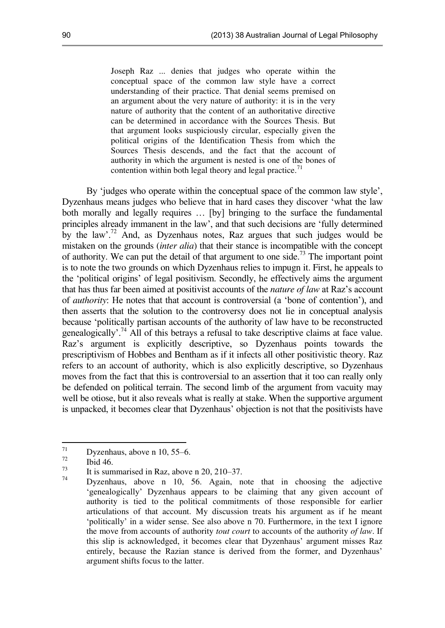Joseph Raz ... denies that judges who operate within the conceptual space of the common law style have a correct understanding of their practice. That denial seems premised on an argument about the very nature of authority: it is in the very nature of authority that the content of an authoritative directive can be determined in accordance with the Sources Thesis. But that argument looks suspiciously circular, especially given the political origins of the Identification Thesis from which the Sources Thesis descends, and the fact that the account of authority in which the argument is nested is one of the bones of contention within both legal theory and legal practice.<sup>71</sup>

By 'judges who operate within the conceptual space of the common law style', Dyzenhaus means judges who believe that in hard cases they discover 'what the law both morally and legally requires … [by] bringing to the surface the fundamental principles already immanent in the law', and that such decisions are 'fully determined by the law'.<sup>72</sup> And, as Dyzenhaus notes, Raz argues that such judges would be mistaken on the grounds (*inter alia*) that their stance is incompatible with the concept of authority. We can put the detail of that argument to one side.<sup>73</sup> The important point is to note the two grounds on which Dyzenhaus relies to impugn it. First, he appeals to the 'political origins' of legal positivism. Secondly, he effectively aims the argument that has thus far been aimed at positivist accounts of the *nature of law* at Raz's account of *authority*: He notes that that account is controversial (a 'bone of contention'), and then asserts that the solution to the controversy does not lie in conceptual analysis because 'politically partisan accounts of the authority of law have to be reconstructed genealogically'.<sup>74</sup> All of this betrays a refusal to take descriptive claims at face value. Raz's argument is explicitly descriptive, so Dyzenhaus points towards the prescriptivism of Hobbes and Bentham as if it infects all other positivistic theory. Raz refers to an account of authority, which is also explicitly descriptive, so Dyzenhaus moves from the fact that this is controversial to an assertion that it too can really only be defended on political terrain. The second limb of the argument from vacuity may well be otiose, but it also reveals what is really at stake. When the supportive argument is unpacked, it becomes clear that Dyzenhaus' objection is not that the positivists have

<sup>71</sup>  $\frac{71}{72}$  Dyzenhaus, above n 10, 55–6.

 $\frac{72}{73}$  Ibid 46.

<sup>&</sup>lt;sup>73</sup> It is summarised in Raz, above n 20, 210–37.

Dyzenhaus, above n 10, 56. Again, note that in choosing the adjective 'genealogically' Dyzenhaus appears to be claiming that any given account of authority is tied to the political commitments of those responsible for earlier articulations of that account. My discussion treats his argument as if he meant 'politically' in a wider sense. See also above n 70. Furthermore, in the text I ignore the move from accounts of authority *tout court* to accounts of the authority *of law*. If this slip is acknowledged, it becomes clear that Dyzenhaus' argument misses Raz entirely, because the Razian stance is derived from the former, and Dyzenhaus' argument shifts focus to the latter.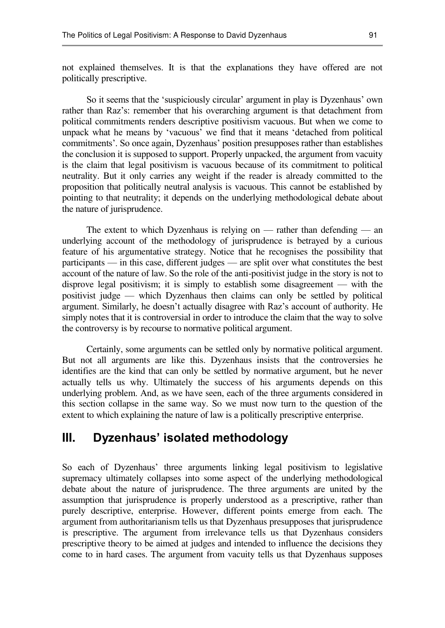not explained themselves. It is that the explanations they have offered are not politically prescriptive.

So it seems that the 'suspiciously circular' argument in play is Dyzenhaus' own rather than Raz's: remember that his overarching argument is that detachment from political commitments renders descriptive positivism vacuous. But when we come to unpack what he means by 'vacuous' we find that it means 'detached from political commitments'. So once again, Dyzenhaus' position presupposes rather than establishes the conclusion it is supposed to support. Properly unpacked, the argument from vacuity is the claim that legal positivism is vacuous because of its commitment to political neutrality. But it only carries any weight if the reader is already committed to the proposition that politically neutral analysis is vacuous. This cannot be established by pointing to that neutrality; it depends on the underlying methodological debate about the nature of jurisprudence.

The extent to which Dyzenhaus is relying on — rather than defending — an underlying account of the methodology of jurisprudence is betrayed by a curious feature of his argumentative strategy. Notice that he recognises the possibility that participants — in this case, different judges — are split over what constitutes the best account of the nature of law. So the role of the anti-positivist judge in the story is not to disprove legal positivism; it is simply to establish some disagreement — with the positivist judge — which Dyzenhaus then claims can only be settled by political argument. Similarly, he doesn't actually disagree with Raz's account of authority. He simply notes that it is controversial in order to introduce the claim that the way to solve the controversy is by recourse to normative political argument.

Certainly, some arguments can be settled only by normative political argument. But not all arguments are like this. Dyzenhaus insists that the controversies he identifies are the kind that can only be settled by normative argument, but he never actually tells us why. Ultimately the success of his arguments depends on this underlying problem. And, as we have seen, each of the three arguments considered in this section collapse in the same way. So we must now turn to the question of the extent to which explaining the nature of law is a politically prescriptive enterprise.

### **III. Dyzenhaus' isolated methodology**

So each of Dyzenhaus' three arguments linking legal positivism to legislative supremacy ultimately collapses into some aspect of the underlying methodological debate about the nature of jurisprudence. The three arguments are united by the assumption that jurisprudence is properly understood as a prescriptive, rather than purely descriptive, enterprise. However, different points emerge from each. The argument from authoritarianism tells us that Dyzenhaus presupposes that jurisprudence is prescriptive. The argument from irrelevance tells us that Dyzenhaus considers prescriptive theory to be aimed at judges and intended to influence the decisions they come to in hard cases. The argument from vacuity tells us that Dyzenhaus supposes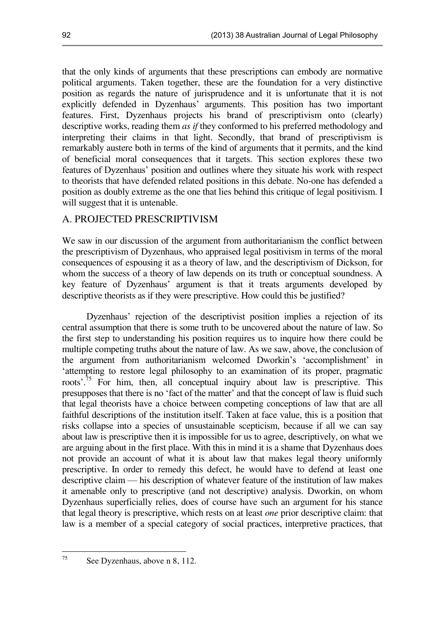that the only kinds of arguments that these prescriptions can embody are normative political arguments. Taken together, these are the foundation for a very distinctive position as regards the nature of jurisprudence and it is unfortunate that it is not explicitly defended in Dyzenhaus' arguments. This position has two important features. First, Dyzenhaus projects his brand of prescriptivism onto (clearly) descriptive works, reading them *as if* they conformed to his preferred methodology and interpreting their claims in that light. Secondly, that brand of prescriptivism is remarkably austere both in terms of the kind of arguments that it permits, and the kind of beneficial moral consequences that it targets. This section explores these two features of Dyzenhaus' position and outlines where they situate his work with respect to theorists that have defended related positions in this debate. No-one has defended a position as doubly extreme as the one that lies behind this critique of legal positivism. I will suggest that it is untenable.

#### A. PROJECTED PRESCRIPTIVISM

We saw in our discussion of the argument from authoritarianism the conflict between the prescriptivism of Dyzenhaus, who appraised legal positivism in terms of the moral consequences of espousing it as a theory of law, and the descriptivism of Dickson, for whom the success of a theory of law depends on its truth or conceptual soundness. A key feature of Dyzenhaus' argument is that it treats arguments developed by descriptive theorists as if they were prescriptive. How could this be justified?

Dyzenhaus' rejection of the descriptivist position implies a rejection of its central assumption that there is some truth to be uncovered about the nature of law. So the first step to understanding his position requires us to inquire how there could be multiple competing truths about the nature of law. As we saw, above, the conclusion of the argument from authoritarianism welcomed Dworkin's 'accomplishment' in 'attempting to restore legal philosophy to an examination of its proper, pragmatic roots<sup>'.75</sup> For him, then, all conceptual inquiry about law is prescriptive. This presupposes that there is no 'fact of the matter' and that the concept of law is fluid such that legal theorists have a choice between competing conceptions of law that are all faithful descriptions of the institution itself. Taken at face value, this is a position that risks collapse into a species of unsustainable scepticism, because if all we can say about law is prescriptive then it is impossible for us to agree, descriptively, on what we are arguing about in the first place. With this in mind it is a shame that Dyzenhaus does not provide an account of what it is about law that makes legal theory uniformly prescriptive. In order to remedy this defect, he would have to defend at least one descriptive claim — his description of whatever feature of the institution of law makes it amenable only to prescriptive (and not descriptive) analysis. Dworkin, on whom Dyzenhaus superficially relies, does of course have such an argument for his stance that legal theory is prescriptive, which rests on at least *one* prior descriptive claim: that law is a member of a special category of social practices, interpretive practices, that

75

See Dyzenhaus, above n 8, 112.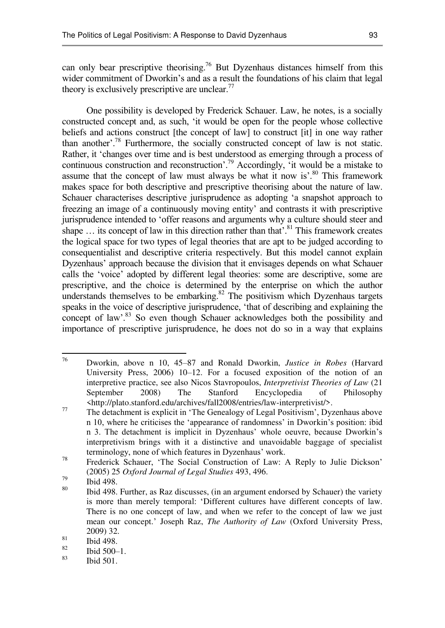can only bear prescriptive theorising.<sup>76</sup> But Dyzenhaus distances himself from this wider commitment of Dworkin's and as a result the foundations of his claim that legal theory is exclusively prescriptive are unclear.<sup>77</sup>

One possibility is developed by Frederick Schauer. Law, he notes, is a socially constructed concept and, as such, 'it would be open for the people whose collective beliefs and actions construct [the concept of law] to construct [it] in one way rather than another'.<sup>78</sup> Furthermore, the socially constructed concept of law is not static. Rather, it 'changes over time and is best understood as emerging through a process of continuous construction and reconstruction'.<sup>79</sup> Accordingly, 'it would be a mistake to assume that the concept of law must always be what it now is'. $80$  This framework makes space for both descriptive and prescriptive theorising about the nature of law. Schauer characterises descriptive jurisprudence as adopting 'a snapshot approach to freezing an image of a continuously moving entity' and contrasts it with prescriptive jurisprudence intended to 'offer reasons and arguments why a culture should steer and shape  $\ldots$  its concept of law in this direction rather than that'.<sup>81</sup> This framework creates the logical space for two types of legal theories that are apt to be judged according to consequentialist and descriptive criteria respectively. But this model cannot explain Dyzenhaus' approach because the division that it envisages depends on what Schauer calls the 'voice' adopted by different legal theories: some are descriptive, some are prescriptive, and the choice is determined by the enterprise on which the author understands themselves to be embarking. $82$  The positivism which Dyzenhaus targets speaks in the voice of descriptive jurisprudence, 'that of describing and explaining the concept of law'.<sup>83</sup> So even though Schauer acknowledges both the possibility and importance of prescriptive jurisprudence, he does not do so in a way that explains

<sup>76</sup> <sup>76</sup> Dworkin, above n 10, 45–87 and Ronald Dworkin, *Justice in Robes* (Harvard University Press, 2006) 10–12. For a focused exposition of the notion of an interpretive practice, see also Nicos Stavropoulos, *Interpretivist Theories of Law* (21 September 2008) The Stanford Encyclopedia of Philosophy <http://plato.stanford.edu/archives/fall2008/entries/law-interpretivist/>.

<sup>77</sup> The detachment is explicit in 'The Genealogy of Legal Positivism', Dyzenhaus above n 10, where he criticises the 'appearance of randomness' in Dworkin's position: ibid n 3. The detachment is implicit in Dyzenhaus' whole oeuvre, because Dworkin's interpretivism brings with it a distinctive and unavoidable baggage of specialist terminology, none of which features in Dyzenhaus' work.

<sup>78</sup> Frederick Schauer, 'The Social Construction of Law: A Reply to Julie Dickson' (2005) 25 *Oxford Journal of Legal Studies* 493, 496.

 $^{79}$  Ibid 498.

Ibid 498. Further, as Raz discusses, (in an argument endorsed by Schauer) the variety is more than merely temporal: 'Different cultures have different concepts of law. There is no one concept of law, and when we refer to the concept of law we just mean our concept.' Joseph Raz, *The Authority of Law* (Oxford University Press, 2009) 32.

 $\frac{81}{82}$  Ibid 498.

 $\frac{82}{83}$  Ibid 500–1.

Ibid 501.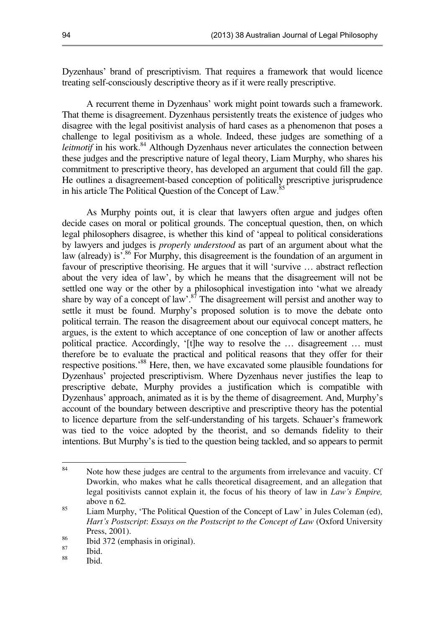Dyzenhaus' brand of prescriptivism. That requires a framework that would licence treating self-consciously descriptive theory as if it were really prescriptive.

A recurrent theme in Dyzenhaus' work might point towards such a framework. That theme is disagreement. Dyzenhaus persistently treats the existence of judges who disagree with the legal positivist analysis of hard cases as a phenomenon that poses a challenge to legal positivism as a whole. Indeed, these judges are something of a *leitmotif* in his work.<sup>84</sup> Although Dyzenhaus never articulates the connection between these judges and the prescriptive nature of legal theory, Liam Murphy, who shares his commitment to prescriptive theory, has developed an argument that could fill the gap. He outlines a disagreement-based conception of politically prescriptive jurisprudence in his article The Political Question of the Concept of Law.<sup>85</sup>

<span id="page-21-0"></span>As Murphy points out, it is clear that lawyers often argue and judges often decide cases on moral or political grounds. The conceptual question, then, on which legal philosophers disagree, is whether this kind of 'appeal to political considerations by lawyers and judges is *properly understood* as part of an argument about what the law (already) is'.<sup>86</sup> For Murphy, this disagreement is the foundation of an argument in favour of prescriptive theorising. He argues that it will 'survive … abstract reflection about the very idea of law', by which he means that the disagreement will not be settled one way or the other by a philosophical investigation into 'what we already share by way of a concept of law'.<sup>87</sup> The disagreement will persist and another way to settle it must be found. Murphy's proposed solution is to move the debate onto political terrain. The reason the disagreement about our equivocal concept matters, he argues, is the extent to which acceptance of one conception of law or another affects political practice. Accordingly, '[t]he way to resolve the ... disagreement ... must therefore be to evaluate the practical and political reasons that they offer for their respective positions.'<sup>88</sup> Here, then, we have excavated some plausible foundations for Dyzenhaus' projected prescriptivism. Where Dyzenhaus never justifies the leap to prescriptive debate, Murphy provides a justification which is compatible with Dyzenhaus' approach, animated as it is by the theme of disagreement. And, Murphy's account of the boundary between descriptive and prescriptive theory has the potential to licence departure from the self-understanding of his targets. Schauer's framework was tied to the voice adopted by the theorist, and so demands fidelity to their intentions. But Murphy's is tied to the question being tackled, and so appears to permit

Ibid.

<sup>&</sup>lt;sup>84</sup> Note how these judges are central to the arguments from irrelevance and vacuity. Cf Dworkin, who makes what he calls theoretical disagreement, and an allegation that legal positivists cannot explain it, the focus of his theory of law in *Law's Empire,*  above n 62*.*

<sup>85</sup> Liam Murphy, 'The Political Question of the Concept of Law' in Jules Coleman (ed), *Hart's Postscript*: *Essays on the Postscript to the Concept of Law* (Oxford University Press, 2001).

 $^{86}$  Ibid 372 (emphasis in original).

 $rac{87}{88}$  Ibid.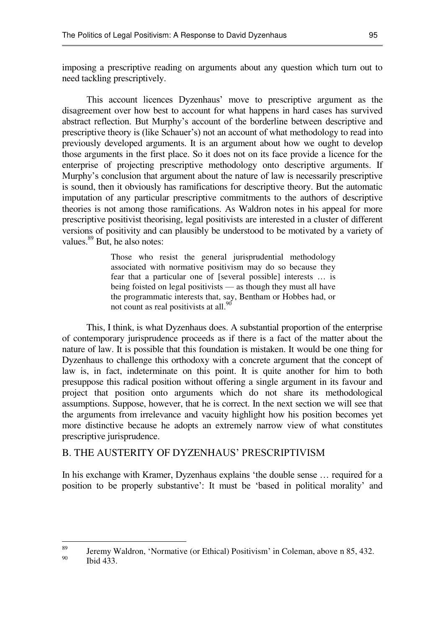imposing a prescriptive reading on arguments about any question which turn out to need tackling prescriptively.

This account licences Dyzenhaus' move to prescriptive argument as the disagreement over how best to account for what happens in hard cases has survived abstract reflection. But Murphy's account of the borderline between descriptive and prescriptive theory is (like Schauer's) not an account of what methodology to read into previously developed arguments. It is an argument about how we ought to develop those arguments in the first place. So it does not on its face provide a licence for the enterprise of projecting prescriptive methodology onto descriptive arguments. If Murphy's conclusion that argument about the nature of law is necessarily prescriptive is sound, then it obviously has ramifications for descriptive theory. But the automatic imputation of any particular prescriptive commitments to the authors of descriptive theories is not among those ramifications. As Waldron notes in his appeal for more prescriptive positivist theorising, legal positivists are interested in a cluster of different versions of positivity and can plausibly be understood to be motivated by a variety of values.<sup>89</sup> But, he also notes:

> Those who resist the general jurisprudential methodology associated with normative positivism may do so because they fear that a particular one of [several possible] interests … is being foisted on legal positivists — as though they must all have the programmatic interests that, say, Bentham or Hobbes had, or not count as real positivists at all. $^{90}$

This, I think, is what Dyzenhaus does. A substantial proportion of the enterprise of contemporary jurisprudence proceeds as if there is a fact of the matter about the nature of law. It is possible that this foundation is mistaken. It would be one thing for Dyzenhaus to challenge this orthodoxy with a concrete argument that the concept of law is, in fact, indeterminate on this point. It is quite another for him to both presuppose this radical position without offering a single argument in its favour and project that position onto arguments which do not share its methodological assumptions. Suppose, however, that he is correct. In the next section we will see that the arguments from irrelevance and vacuity highlight how his position becomes yet more distinctive because he adopts an extremely narrow view of what constitutes prescriptive jurisprudence.

#### B. THE AUSTERITY OF DYZENHAUS' PRESCRIPTIVISM

In his exchange with Kramer, Dyzenhaus explains 'the double sense … required for a position to be properly substantive': It must be 'based in political morality' and

<sup>89</sup> <sup>89</sup> Jeremy Waldron, 'Normative (or Ethical) Positivism' in Coleman, above n 85, 432. Ibid 433.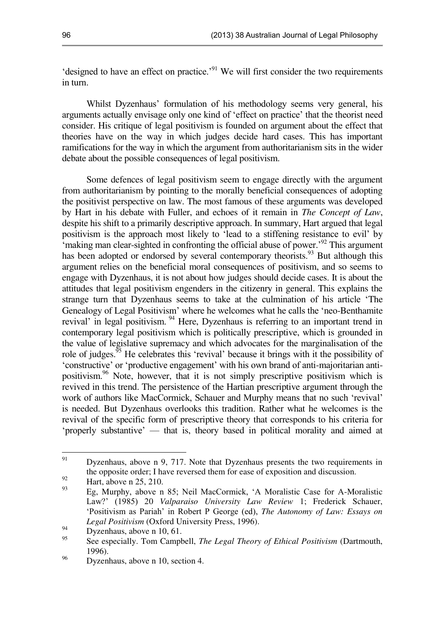'designed to have an effect on practice.'<sup>91</sup> We will first consider the two requirements in turn.

Whilst Dyzenhaus' formulation of his methodology seems very general, his arguments actually envisage only one kind of 'effect on practice' that the theorist need consider. His critique of legal positivism is founded on argument about the effect that theories have on the way in which judges decide hard cases. This has important ramifications for the way in which the argument from authoritarianism sits in the wider debate about the possible consequences of legal positivism.

Some defences of legal positivism seem to engage directly with the argument from authoritarianism by pointing to the morally beneficial consequences of adopting the positivist perspective on law. The most famous of these arguments was developed by Hart in his debate with Fuller, and echoes of it remain in *The Concept of Law*, despite his shift to a primarily descriptive approach. In summary, Hart argued that legal positivism is the approach most likely to 'lead to a stiffening resistance to evil' by  $\epsilon$ making man clear-sighted in confronting the official abuse of power.<sup>92</sup> This argument has been adopted or endorsed by several contemporary theorists.<sup>93</sup> But although this argument relies on the beneficial moral consequences of positivism, and so seems to engage with Dyzenhaus, it is not about how judges should decide cases. It is about the attitudes that legal positivism engenders in the citizenry in general. This explains the strange turn that Dyzenhaus seems to take at the culmination of his article 'The Genealogy of Legal Positivism' where he welcomes what he calls the 'neo-Benthamite revival' in legal positivism.  $94$  Here, Dyzenhaus is referring to an important trend in contemporary legal positivism which is politically prescriptive, which is grounded in the value of legislative supremacy and which advocates for the marginalisation of the role of judges.<sup>95</sup> He celebrates this 'revival' because it brings with it the possibility of 'constructive' or 'productive engagement' with his own brand of anti-majoritarian antipositivism.<sup>96</sup> Note, however, that it is not simply prescriptive positivism which is revived in this trend. The persistence of the Hartian prescriptive argument through the work of authors like MacCormick, Schauer and Murphy means that no such 'revival' is needed. But Dyzenhaus overlooks this tradition. Rather what he welcomes is the revival of the specific form of prescriptive theory that corresponds to his criteria for 'properly substantive' — that is, theory based in political morality and aimed at

<sup>91</sup> Dyzenhaus, above n 9, 717. Note that Dyzenhaus presents the two requirements in the opposite order; I have reversed them for ease of exposition and discussion.

 $^{92}$  Hart, above n 25, 210.

Eg, Murphy, above n 85; Neil MacCormick, 'A Moralistic Case for A-Moralistic Law?' (1985) 20 *Valparaiso University Law Review* 1; Frederick Schauer, 'Positivism as Pariah' in Robert P George (ed), *The Autonomy of Law: Essays on Legal Positivism* (Oxford University Press, 1996).

 $^{94}$  Dyzenhaus, above n 10, 61.

<sup>95</sup> See especially. Tom Campbell, *The Legal Theory of Ethical Positivism* (Dartmouth, 1996).

<sup>&</sup>lt;sup>96</sup> Dyzenhaus, above n 10, section 4.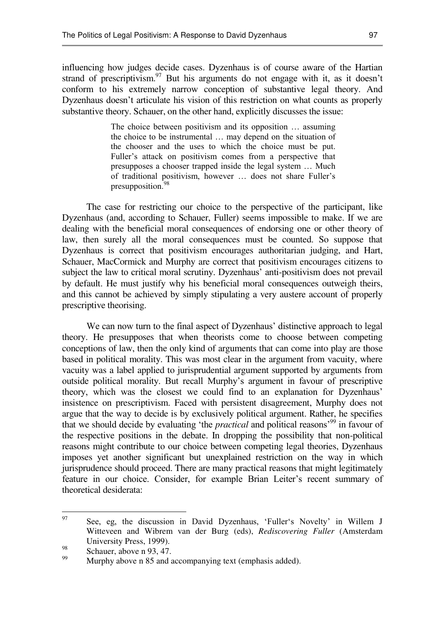influencing how judges decide cases. Dyzenhaus is of course aware of the Hartian strand of prescriptivism.<sup>97</sup> But his arguments do not engage with it, as it doesn't conform to his extremely narrow conception of substantive legal theory. And Dyzenhaus doesn't articulate his vision of this restriction on what counts as properly substantive theory. Schauer, on the other hand, explicitly discusses the issue:

> The choice between positivism and its opposition … assuming the choice to be instrumental … may depend on the situation of the chooser and the uses to which the choice must be put. Fuller's attack on positivism comes from a perspective that presupposes a chooser trapped inside the legal system … Much of traditional positivism, however … does not share Fuller's presupposition.<sup>98</sup>

The case for restricting our choice to the perspective of the participant, like Dyzenhaus (and, according to Schauer, Fuller) seems impossible to make. If we are dealing with the beneficial moral consequences of endorsing one or other theory of law, then surely all the moral consequences must be counted. So suppose that Dyzenhaus is correct that positivism encourages authoritarian judging, and Hart, Schauer, MacCormick and Murphy are correct that positivism encourages citizens to subject the law to critical moral scrutiny. Dyzenhaus' anti-positivism does not prevail by default. He must justify why his beneficial moral consequences outweigh theirs, and this cannot be achieved by simply stipulating a very austere account of properly prescriptive theorising.

We can now turn to the final aspect of Dyzenhaus' distinctive approach to legal theory. He presupposes that when theorists come to choose between competing conceptions of law, then the only kind of arguments that can come into play are those based in political morality. This was most clear in the argument from vacuity, where vacuity was a label applied to jurisprudential argument supported by arguments from outside political morality. But recall Murphy's argument in favour of prescriptive theory, which was the closest we could find to an explanation for Dyzenhaus' insistence on prescriptivism. Faced with persistent disagreement, Murphy does not argue that the way to decide is by exclusively political argument. Rather, he specifies that we should decide by evaluating 'the *practical* and political reasons'<sup>99</sup> in favour of the respective positions in the debate. In dropping the possibility that non-political reasons might contribute to our choice between competing legal theories, Dyzenhaus imposes yet another significant but unexplained restriction on the way in which jurisprudence should proceed. There are many practical reasons that might legitimately feature in our choice. Consider, for example Brian Leiter's recent summary of theoretical desiderata:

<sup>&</sup>lt;sub>97</sub> See, eg, the discussion in David Dyzenhaus, 'Fuller's Novelty' in Willem J Witteveen and Wibrem van der Burg (eds), *Rediscovering Fuller* (Amsterdam University Press, 1999).

 $\frac{98}{99}$  Schauer, above n 93, 47.

Murphy above n [85](#page-21-0) and accompanying text (emphasis added).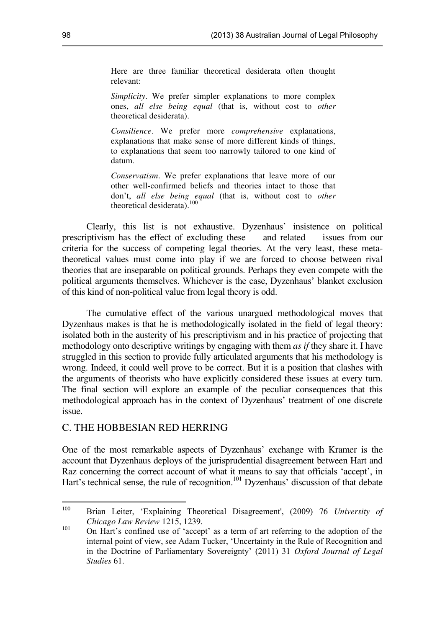Here are three familiar theoretical desiderata often thought relevant:

*Simplicity*. We prefer simpler explanations to more complex ones, *all else being equal* (that is, without cost to *other*  theoretical desiderata).

*Consilience*. We prefer more *comprehensive* explanations, explanations that make sense of more different kinds of things, to explanations that seem too narrowly tailored to one kind of datum.

*Conservatism*. We prefer explanations that leave more of our other well-confirmed beliefs and theories intact to those that don't, *all else being equal* (that is, without cost to *other*  theoretical desiderata). $100$ 

Clearly, this list is not exhaustive. Dyzenhaus' insistence on political prescriptivism has the effect of excluding these — and related — issues from our criteria for the success of competing legal theories. At the very least, these metatheoretical values must come into play if we are forced to choose between rival theories that are inseparable on political grounds. Perhaps they even compete with the political arguments themselves. Whichever is the case, Dyzenhaus' blanket exclusion of this kind of non-political value from legal theory is odd.

The cumulative effect of the various unargued methodological moves that Dyzenhaus makes is that he is methodologically isolated in the field of legal theory: isolated both in the austerity of his prescriptivism and in his practice of projecting that methodology onto descriptive writings by engaging with them *as if* they share it. I have struggled in this section to provide fully articulated arguments that his methodology is wrong. Indeed, it could well prove to be correct. But it is a position that clashes with the arguments of theorists who have explicitly considered these issues at every turn. The final section will explore an example of the peculiar consequences that this methodological approach has in the context of Dyzenhaus' treatment of one discrete issue.

#### C. THE HOBBESIAN RED HERRING

One of the most remarkable aspects of Dyzenhaus' exchange with Kramer is the account that Dyzenhaus deploys of the jurisprudential disagreement between Hart and Raz concerning the correct account of what it means to say that officials 'accept', in Hart's technical sense, the rule of recognition.<sup>101</sup> Dyzenhaus' discussion of that debate

<sup>&</sup>lt;sup>1</sup>00 Brian Leiter, 'Explaining Theoretical Disagreement', (2009) 76 *University of Chicago Law Review* 1215, 1239.

<sup>101</sup> On Hart's confined use of 'accept' as a term of art referring to the adoption of the internal point of view, see Adam Tucker, 'Uncertainty in the Rule of Recognition and in the Doctrine of Parliamentary Sovereignty' (2011) 31 *Oxford Journal of Legal Studies* 61.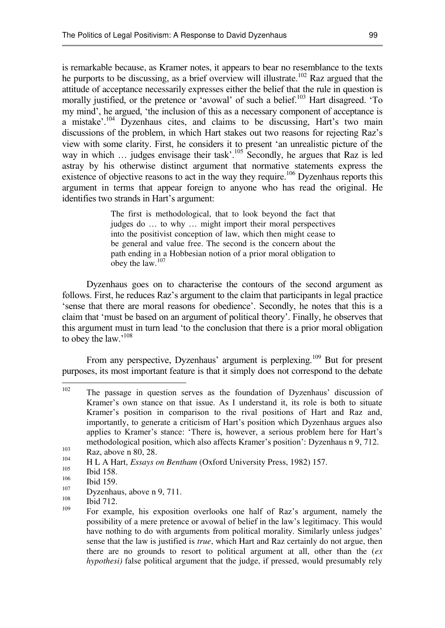is remarkable because, as Kramer notes, it appears to bear no resemblance to the texts he purports to be discussing, as a brief overview will illustrate.<sup>102</sup> Raz argued that the attitude of acceptance necessarily expresses either the belief that the rule in question is morally justified, or the pretence or 'avowal' of such a belief.<sup>103</sup> Hart disagreed. 'To my mind', he argued, 'the inclusion of this as a necessary component of acceptance is a mistake'.<sup>104</sup> Dyzenhaus cites, and claims to be discussing, Hart's two main discussions of the problem, in which Hart stakes out two reasons for rejecting Raz's view with some clarity. First, he considers it to present 'an unrealistic picture of the way in which ... judges envisage their task'.<sup>105</sup> Secondly, he argues that Raz is led astray by his otherwise distinct argument that normative statements express the existence of objective reasons to act in the way they require.<sup>106</sup> Dyzenhaus reports this argument in terms that appear foreign to anyone who has read the original. He identifies two strands in Hart's argument:

> The first is methodological, that to look beyond the fact that judges do … to why … might import their moral perspectives into the positivist conception of law, which then might cease to be general and value free. The second is the concern about the path ending in a Hobbesian notion of a prior moral obligation to obey the law.<sup>107</sup>

Dyzenhaus goes on to characterise the contours of the second argument as follows. First, he reduces Raz's argument to the claim that participants in legal practice 'sense that there are moral reasons for obedience'. Secondly, he notes that this is a claim that 'must be based on an argument of political theory'. Finally, he observes that this argument must in turn lead 'to the conclusion that there is a prior moral obligation to obey the law.'<sup>108</sup>

From any perspective, Dyzenhaus' argument is perplexing.<sup>109</sup> But for present purposes, its most important feature is that it simply does not correspond to the debate

<sup>&</sup>lt;sup>102</sup> The passage in question serves as the foundation of Dyzenhaus' discussion of Kramer's own stance on that issue. As I understand it, its role is both to situate Kramer's position in comparison to the rival positions of Hart and Raz and, importantly, to generate a criticism of Hart's position which Dyzenhaus argues also applies to Kramer's stance: 'There is, however, a serious problem here for Hart's methodological position, which also affects Kramer's position': Dyzenhaus n 9, 712.

 $\begin{array}{cc}\n 103 \\
104 \\
\end{array}$  Raz, above n 80, 28.

<sup>&</sup>lt;sup>104</sup> H L A Hart, *Essays on Bentham* (Oxford University Press, 1982) 157.

 $\frac{105}{106}$  Ibid 158.

 $\frac{106}{107}$  Ibid 159.

 $107 \text{ Dyzenhaus, above n } 9, 711.$ 

Ibid 712.

<sup>109</sup> For example, his exposition overlooks one half of Raz's argument, namely the possibility of a mere pretence or avowal of belief in the law's legitimacy. This would have nothing to do with arguments from political morality. Similarly unless judges' sense that the law is justified is *true*, which Hart and Raz certainly do not argue, then there are no grounds to resort to political argument at all, other than the (*ex hypothesi)* false political argument that the judge, if pressed, would presumably rely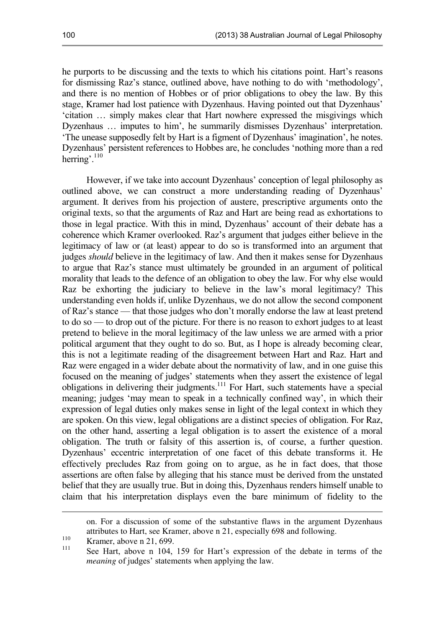he purports to be discussing and the texts to which his citations point. Hart's reasons for dismissing Raz's stance, outlined above, have nothing to do with 'methodology', and there is no mention of Hobbes or of prior obligations to obey the law. By this stage, Kramer had lost patience with Dyzenhaus. Having pointed out that Dyzenhaus' 'citation … simply makes clear that Hart nowhere expressed the misgivings which Dyzenhaus … imputes to him', he summarily dismisses Dyzenhaus' interpretation. 'The unease supposedly felt by Hart is a figment of Dyzenhaus' imagination', he notes. Dyzenhaus' persistent references to Hobbes are, he concludes 'nothing more than a red herring'. $110$ 

However, if we take into account Dyzenhaus' conception of legal philosophy as outlined above, we can construct a more understanding reading of Dyzenhaus' argument. It derives from his projection of austere, prescriptive arguments onto the original texts, so that the arguments of Raz and Hart are being read as exhortations to those in legal practice. With this in mind, Dyzenhaus' account of their debate has a coherence which Kramer overlooked. Raz's argument that judges either believe in the legitimacy of law or (at least) appear to do so is transformed into an argument that judges *should* believe in the legitimacy of law. And then it makes sense for Dyzenhaus to argue that Raz's stance must ultimately be grounded in an argument of political morality that leads to the defence of an obligation to obey the law. For why else would Raz be exhorting the judiciary to believe in the law's moral legitimacy? This understanding even holds if, unlike Dyzenhaus, we do not allow the second component of Raz's stance — that those judges who don't morally endorse the law at least pretend to do so — to drop out of the picture. For there is no reason to exhort judges to at least pretend to believe in the moral legitimacy of the law unless we are armed with a prior political argument that they ought to do so. But, as I hope is already becoming clear, this is not a legitimate reading of the disagreement between Hart and Raz. Hart and Raz were engaged in a wider debate about the normativity of law, and in one guise this focused on the meaning of judges' statements when they assert the existence of legal obligations in delivering their judgments.<sup>111</sup> For Hart, such statements have a special meaning; judges 'may mean to speak in a technically confined way', in which their expression of legal duties only makes sense in light of the legal context in which they are spoken. On this view, legal obligations are a distinct species of obligation. For Raz, on the other hand, asserting a legal obligation is to assert the existence of a moral obligation. The truth or falsity of this assertion is, of course, a further question. Dyzenhaus' eccentric interpretation of one facet of this debate transforms it. He effectively precludes Raz from going on to argue, as he in fact does, that those assertions are often false by alleging that his stance must be derived from the unstated belief that they are usually true. But in doing this, Dyzenhaus renders himself unable to claim that his interpretation displays even the bare minimum of fidelity to the

on. For a discussion of some of the substantive flaws in the argument Dyzenhaus attributes to Hart, see Kramer, above n 21, especially 698 and following.

 $110$  Kramer, above n 21, 699.

 $\overline{a}$ 

111 See Hart, above n 104, 159 for Hart's expression of the debate in terms of the *meaning* of judges' statements when applying the law.